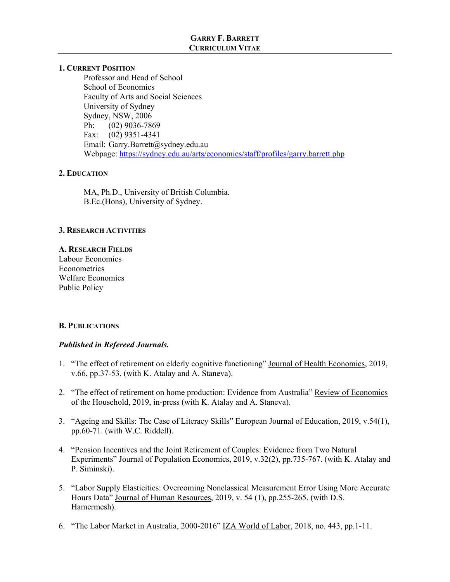# **GARRY F. BARRETT CURRICULUM VITAE**

## **1. CURRENT POSITION**

 Professor and Head of School School of Economics Faculty of Arts and Social Sciences University of Sydney Sydney, NSW, 2006 Ph: (02) 9036-7869 Fax: (02) 9351-4341 Email: Garry.Barrett@sydney.edu.au Webpage: https://sydney.edu.au/arts/economics/staff/profiles/garry.barrett.php

## **2. EDUCATION**

 MA, Ph.D., University of British Columbia. B.Ec.(Hons), University of Sydney.

## **3. RESEARCH ACTIVITIES**

#### **A. RESEARCH FIELDS**

Labour Economics **Econometrics** Welfare Economics Public Policy

## **B. PUBLICATIONS**

## *Published in Refereed Journals.*

- 1. "The effect of retirement on elderly cognitive functioning" Journal of Health Economics, 2019, v.66, pp.37-53. (with K. Atalay and A. Staneva).
- 2. "The effect of retirement on home production: Evidence from Australia" Review of Economics of the Household, 2019, in-press (with K. Atalay and A. Staneva).
- 3. "Ageing and Skills: The Case of Literacy Skills" European Journal of Education, 2019, v.54(1), pp.60-71. (with W.C. Riddell).
- 4. "Pension Incentives and the Joint Retirement of Couples: Evidence from Two Natural Experiments" Journal of Population Economics, 2019, v.32(2), pp.735-767. (with K. Atalay and P. Siminski).
- 5. "Labor Supply Elasticities: Overcoming Nonclassical Measurement Error Using More Accurate Hours Data" Journal of Human Resources, 2019, v. 54 (1), pp.255-265. (with D.S. Hamermesh).
- 6. "The Labor Market in Australia, 2000-2016" IZA World of Labor, 2018, no. 443, pp.1-11.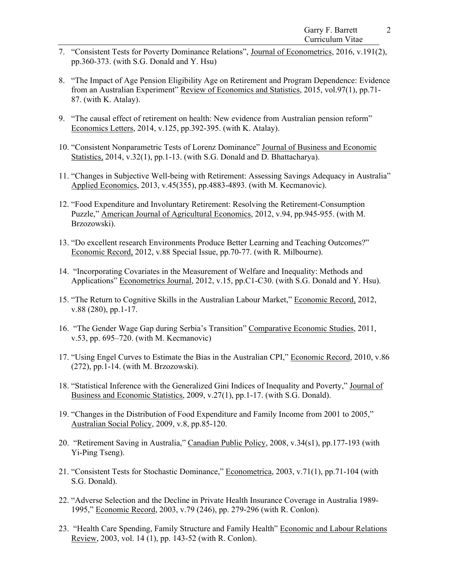- 7. "Consistent Tests for Poverty Dominance Relations", Journal of Econometrics, 2016, v.191(2), pp.360-373. (with S.G. Donald and Y. Hsu)
- 8. "The Impact of Age Pension Eligibility Age on Retirement and Program Dependence: Evidence from an Australian Experiment" Review of Economics and Statistics, 2015, vol.97(1), pp.71- 87. (with K. Atalay).
- 9. "The causal effect of retirement on health: New evidence from Australian pension reform" Economics Letters, 2014, v.125, pp.392-395. (with K. Atalay).
- 10. "Consistent Nonparametric Tests of Lorenz Dominance" Journal of Business and Economic Statistics, 2014, v.32(1), pp.1-13. (with S.G. Donald and D. Bhattacharya).
- 11. "Changes in Subjective Well-being with Retirement: Assessing Savings Adequacy in Australia" Applied Economics, 2013, v.45(355), pp.4883-4893. (with M. Kecmanovic).
- 12. "Food Expenditure and Involuntary Retirement: Resolving the Retirement-Consumption Puzzle," American Journal of Agricultural Economics, 2012, v.94, pp.945-955. (with M. Brzozowski).
- 13. "Do excellent research Environments Produce Better Learning and Teaching Outcomes?" Economic Record, 2012, v.88 Special Issue, pp.70-77. (with R. Milbourne).
- 14. "Incorporating Covariates in the Measurement of Welfare and Inequality: Methods and Applications" Econometrics Journal, 2012, v.15, pp.C1-C30. (with S.G. Donald and Y. Hsu).
- 15. "The Return to Cognitive Skills in the Australian Labour Market," Economic Record, 2012, v.88 (280), pp.1-17.
- 16. "The Gender Wage Gap during Serbia's Transition" Comparative Economic Studies, 2011, v.53, pp. 695–720. (with M. Kecmanovic)
- 17. "Using Engel Curves to Estimate the Bias in the Australian CPI," Economic Record, 2010, v.86 (272), pp.1-14. (with M. Brzozowski).
- 18. "Statistical Inference with the Generalized Gini Indices of Inequality and Poverty," Journal of Business and Economic Statistics, 2009, v.27(1), pp.1-17. (with S.G. Donald).
- 19. "Changes in the Distribution of Food Expenditure and Family Income from 2001 to 2005," Australian Social Policy, 2009, v.8, pp.85-120.
- 20. "Retirement Saving in Australia," Canadian Public Policy, 2008, v.34(s1), pp.177-193 (with Yi-Ping Tseng).
- 21. "Consistent Tests for Stochastic Dominance," Econometrica, 2003, v.71(1), pp.71-104 (with S.G. Donald).
- 22. "Adverse Selection and the Decline in Private Health Insurance Coverage in Australia 1989- 1995," Economic Record, 2003, v.79 (246), pp. 279-296 (with R. Conlon).
- 23. "Health Care Spending, Family Structure and Family Health" Economic and Labour Relations Review, 2003, vol. 14 (1), pp. 143-52 (with R. Conlon).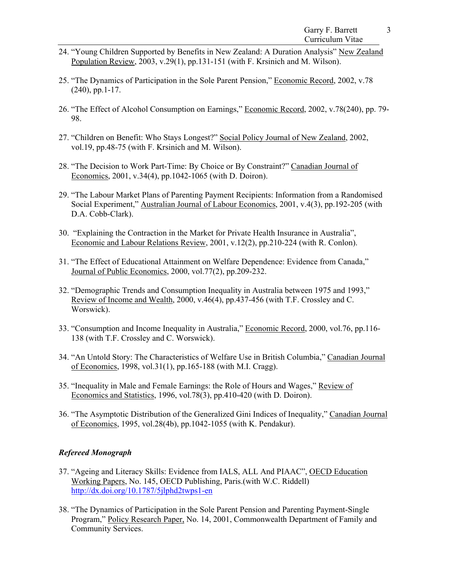- 24. "Young Children Supported by Benefits in New Zealand: A Duration Analysis" New Zealand Population Review, 2003, v.29(1), pp.131-151 (with F. Krsinich and M. Wilson).
- 25. "The Dynamics of Participation in the Sole Parent Pension," Economic Record, 2002, v.78 (240), pp.1-17.
- 26. "The Effect of Alcohol Consumption on Earnings," Economic Record, 2002, v.78(240), pp. 79- 98.
- 27. "Children on Benefit: Who Stays Longest?" Social Policy Journal of New Zealand, 2002, vol.19, pp.48-75 (with F. Krsinich and M. Wilson).
- 28. "The Decision to Work Part-Time: By Choice or By Constraint?" Canadian Journal of Economics, 2001, v.34(4), pp.1042-1065 (with D. Doiron).
- 29. "The Labour Market Plans of Parenting Payment Recipients: Information from a Randomised Social Experiment," Australian Journal of Labour Economics, 2001, v.4(3), pp.192-205 (with D.A. Cobb-Clark).
- 30. "Explaining the Contraction in the Market for Private Health Insurance in Australia", Economic and Labour Relations Review, 2001, v.12(2), pp.210-224 (with R. Conlon).
- 31. "The Effect of Educational Attainment on Welfare Dependence: Evidence from Canada," Journal of Public Economics, 2000, vol.77(2), pp.209-232.
- 32. "Demographic Trends and Consumption Inequality in Australia between 1975 and 1993," Review of Income and Wealth, 2000, v.46(4), pp.437-456 (with T.F. Crossley and C. Worswick).
- 33. "Consumption and Income Inequality in Australia," Economic Record, 2000, vol.76, pp.116- 138 (with T.F. Crossley and C. Worswick).
- 34. "An Untold Story: The Characteristics of Welfare Use in British Columbia," Canadian Journal of Economics, 1998, vol.31(1), pp.165-188 (with M.I. Cragg).
- 35. "Inequality in Male and Female Earnings: the Role of Hours and Wages," Review of Economics and Statistics, 1996, vol.78(3), pp.410-420 (with D. Doiron).
- 36. "The Asymptotic Distribution of the Generalized Gini Indices of Inequality," Canadian Journal of Economics, 1995, vol.28(4b), pp.1042-1055 (with K. Pendakur).

# *Refereed Monograph*

- 37. "Ageing and Literacy Skills: Evidence from IALS, ALL And PIAAC", OECD Education Working Papers, No. 145, OECD Publishing, Paris.(with W.C. Riddell) http://dx.doi.org/10.1787/5jlphd2twps1-en
- 38. "The Dynamics of Participation in the Sole Parent Pension and Parenting Payment-Single Program," Policy Research Paper, No. 14, 2001, Commonwealth Department of Family and Community Services.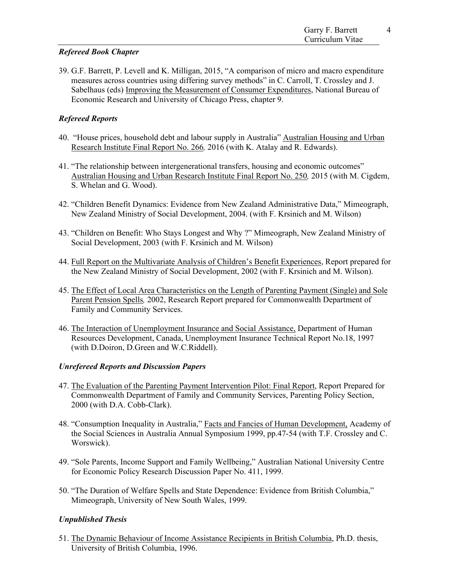4

# *Refereed Book Chapter*

39. G.F. Barrett, P. Levell and K. Milligan, 2015, "A comparison of micro and macro expenditure measures across countries using differing survey methods" in C. Carroll, T. Crossley and J. Sabelhaus (eds) Improving the Measurement of Consumer Expenditures, National Bureau of Economic Research and University of Chicago Press, chapter 9.

# *Refereed Reports*

- 40. "House prices, household debt and labour supply in Australia" Australian Housing and Urban Research Institute Final Report No. 266*,* 2016 (with K. Atalay and R. Edwards).
- 41. "The relationship between intergenerational transfers, housing and economic outcomes" Australian Housing and Urban Research Institute Final Report No. 250*,* 2015 (with M. Cigdem, S. Whelan and G. Wood).
- 42. "Children Benefit Dynamics: Evidence from New Zealand Administrative Data," Mimeograph, New Zealand Ministry of Social Development, 2004. (with F. Krsinich and M. Wilson)
- 43. "Children on Benefit: Who Stays Longest and Why ?" Mimeograph, New Zealand Ministry of Social Development, 2003 (with F. Krsinich and M. Wilson)
- 44. Full Report on the Multivariate Analysis of Children's Benefit Experiences, Report prepared for the New Zealand Ministry of Social Development, 2002 (with F. Krsinich and M. Wilson).
- 45. The Effect of Local Area Characteristics on the Length of Parenting Payment (Single) and Sole Parent Pension Spells*,* 2002, Research Report prepared for Commonwealth Department of Family and Community Services.
- 46. The Interaction of Unemployment Insurance and Social Assistance, Department of Human Resources Development, Canada, Unemployment Insurance Technical Report No.18, 1997 (with D.Doiron, D.Green and W.C.Riddell).

## *Unrefereed Reports and Discussion Papers*

- 47. The Evaluation of the Parenting Payment Intervention Pilot: Final Report, Report Prepared for Commonwealth Department of Family and Community Services, Parenting Policy Section, 2000 (with D.A. Cobb-Clark).
- 48. "Consumption Inequality in Australia," Facts and Fancies of Human Development, Academy of the Social Sciences in Australia Annual Symposium 1999, pp.47-54 (with T.F. Crossley and C. Worswick).
- 49. "Sole Parents, Income Support and Family Wellbeing," Australian National University Centre for Economic Policy Research Discussion Paper No. 411, 1999.
- 50. "The Duration of Welfare Spells and State Dependence: Evidence from British Columbia," Mimeograph, University of New South Wales, 1999.

# *Unpublished Thesis*

51. The Dynamic Behaviour of Income Assistance Recipients in British Columbia, Ph.D. thesis, University of British Columbia, 1996.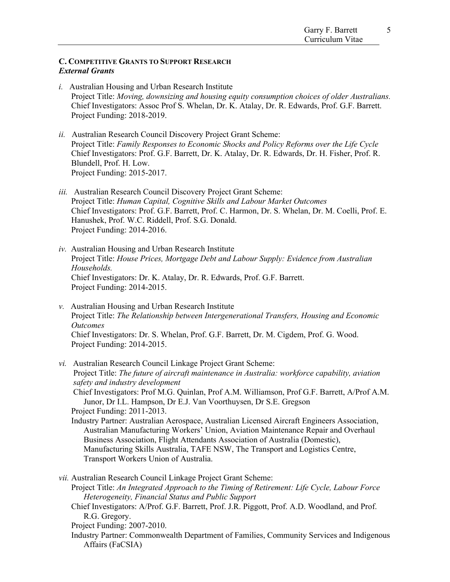## **C. COMPETITIVE GRANTS TO SUPPORT RESEARCH**  *External Grants*

- *i.* Australian Housing and Urban Research Institute Project Title: *Moving, downsizing and housing equity consumption choices of older Australians.*  Chief Investigators: Assoc Prof S. Whelan, Dr. K. Atalay, Dr. R. Edwards, Prof. G.F. Barrett. Project Funding: 2018-2019.
- *ii.* Australian Research Council Discovery Project Grant Scheme: Project Title: *Family Responses to Economic Shocks and Policy Reforms over the Life Cycle* Chief Investigators: Prof. G.F. Barrett, Dr. K. Atalay, Dr. R. Edwards, Dr. H. Fisher, Prof. R. Blundell, Prof. H. Low. Project Funding: 2015-2017.
- *iii.* Australian Research Council Discovery Project Grant Scheme: Project Title: *Human Capital, Cognitive Skills and Labour Market Outcomes* Chief Investigators: Prof. G.F. Barrett, Prof. C. Harmon, Dr. S. Whelan, Dr. M. Coelli, Prof. E. Hanushek, Prof. W.C. Riddell, Prof. S.G. Donald. Project Funding: 2014-2016.
- *iv.* Australian Housing and Urban Research Institute Project Title: *House Prices, Mortgage Debt and Labour Supply: Evidence from Australian Households.*  Chief Investigators: Dr. K. Atalay, Dr. R. Edwards, Prof. G.F. Barrett. Project Funding: 2014-2015.
- *v.* Australian Housing and Urban Research Institute Project Title: *The Relationship between Intergenerational Transfers, Housing and Economic Outcomes*  Chief Investigators: Dr. S. Whelan, Prof. G.F. Barrett, Dr. M. Cigdem, Prof. G. Wood. Project Funding: 2014-2015.
- *vi.* Australian Research Council Linkage Project Grant Scheme: Project Title: *The future of aircraft maintenance in Australia: workforce capability, aviation safety and industry development*  Chief Investigators: Prof M.G. Quinlan, Prof A.M. Williamson, Prof G.F. Barrett, A/Prof A.M. Junor, Dr I.L. Hampson, Dr E.J. Van Voorthuysen, Dr S.E. Gregson Project Funding: 2011-2013. Industry Partner: Australian Aerospace, Australian Licensed Aircraft Engineers Association, Australian Manufacturing Workers' Union, Aviation Maintenance Repair and Overhaul Business Association, Flight Attendants Association of Australia (Domestic), Manufacturing Skills Australia, TAFE NSW, The Transport and Logistics Centre, Transport Workers Union of Australia. *vii.* Australian Research Council Linkage Project Grant Scheme: Project Title: *An Integrated Approach to the Timing of Retirement: Life Cycle, Labour Force* 
	- *Heterogeneity, Financial Status and Public Support*
	- Chief Investigators: A/Prof. G.F. Barrett, Prof. J.R. Piggott, Prof. A.D. Woodland, and Prof. R.G. Gregory.
	- Project Funding: 2007-2010.
	- Industry Partner: Commonwealth Department of Families, Community Services and Indigenous Affairs (FaCSIA)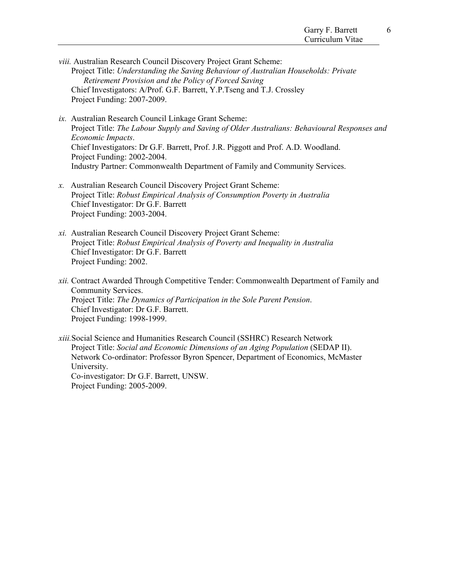- *viii.* Australian Research Council Discovery Project Grant Scheme: Project Title: *Understanding the Saving Behaviour of Australian Households: Private Retirement Provision and the Policy of Forced Saving* Chief Investigators: A/Prof. G.F. Barrett, Y.P.Tseng and T.J. Crossley Project Funding: 2007-2009.
- *ix.* Australian Research Council Linkage Grant Scheme: Project Title: *The Labour Supply and Saving of Older Australians: Behavioural Responses and Economic Impacts*. Chief Investigators: Dr G.F. Barrett, Prof. J.R. Piggott and Prof. A.D. Woodland. Project Funding: 2002-2004. Industry Partner: Commonwealth Department of Family and Community Services.
- *x.* Australian Research Council Discovery Project Grant Scheme: Project Title: *Robust Empirical Analysis of Consumption Poverty in Australia* Chief Investigator: Dr G.F. Barrett Project Funding: 2003-2004.
- *xi.* Australian Research Council Discovery Project Grant Scheme: Project Title: *Robust Empirical Analysis of Poverty and Inequality in Australia* Chief Investigator: Dr G.F. Barrett Project Funding: 2002.
- *xii.* Contract Awarded Through Competitive Tender: Commonwealth Department of Family and Community Services. Project Title: *The Dynamics of Participation in the Sole Parent Pension*. Chief Investigator: Dr G.F. Barrett. Project Funding: 1998-1999.
- *xiii.*Social Science and Humanities Research Council (SSHRC) Research Network Project Title: *Social and Economic Dimensions of an Aging Population* (SEDAP II). Network Co-ordinator: Professor Byron Spencer, Department of Economics, McMaster University. Co-investigator: Dr G.F. Barrett, UNSW. Project Funding: 2005-2009.